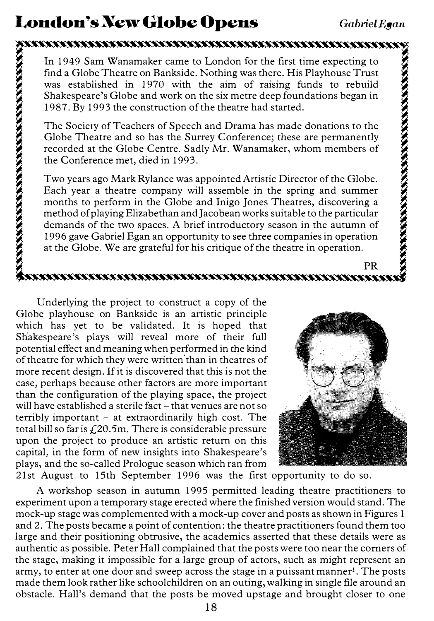# London's New Globe Opens Gabriel Egan

In 1949 Sam Wanamaker came to London for the first time expecting to find a Globe Theatre on Bankside. Nothing was there. His Playhouse Trust was established in 1970 with the aim of raising funds to rebuild Shakespeare's Globe and work on the six metre deep foundations began in 1987. By 1993 the construction of the theatre had started.

The Society of Teachers of Speech and Drama has made donations to the Globe Theatre and so has the Surrey Conference; these are permanently recorded at the Globe Centre. Sadly Mr. Wanamaker, whom members of the Conference met, died in 1993.

Two years ago Mark Rylance was appointed Artistic Director of the Globe. Each year a theatre company will assemble in the spring and summer months to perform in the Globe and Inigo Jones Theatres, discovering a method of playing Elizabethan and Jacobean works suitable to the particular demands of the two spaces. A brief introductory season in the autumn of 1996 gave Gabriel Egan an opportunity to see three companies in operation at the Globe. We are grateful for his critique of the theatre in operation.

## PR

Underlying the project to construct a copy of the Globe playhouse on Bankside is an artistic principle which has yet to be validated. It is hoped that Shakespeare's plays will reveal more of their full potential effect and meaning when performed in the kind of theatre for which they were written than in theatres of more recent design. If it is discovered that this is not the case, perhaps because other factors are more important than the configuration of the playing space, the project will have established a sterile fact - that venues are not so terribly important - at extraordinarily high cost. The total bill so far is  $f(20.5m)$ . There is considerable pressure upon the project to produce an artistic return on this capital, in the form of new insights into Shakespeare's plays, and the so-called Prologue season which ran from



21st August to 15th September 1996 was the first opportunity to do so.

A workshop season in autumn 1995 permitted leading theatre practitioners to experiment upon a temporary stage erected where the finished version would stand. The mock-up stage was complemented with a mock-up cover and posts as shown in Figures 1 and 2. The posts became a point of contention: the theatre practitioners found them too large and their positioning obtrusive, the academics asserted that these details were as authentic as possible. Peter Hall complained that the posts were too near the comers of the stage, making it impossible for a large group of actors, such as might represent an army, to enter at one door and sweep across the stage in a puissant manner<sup>1</sup>. The posts made them look rather like schoolchildren on an outing, walking in single file around an obstacle. Hall's demand that the posts be moved upstage and brought closer to one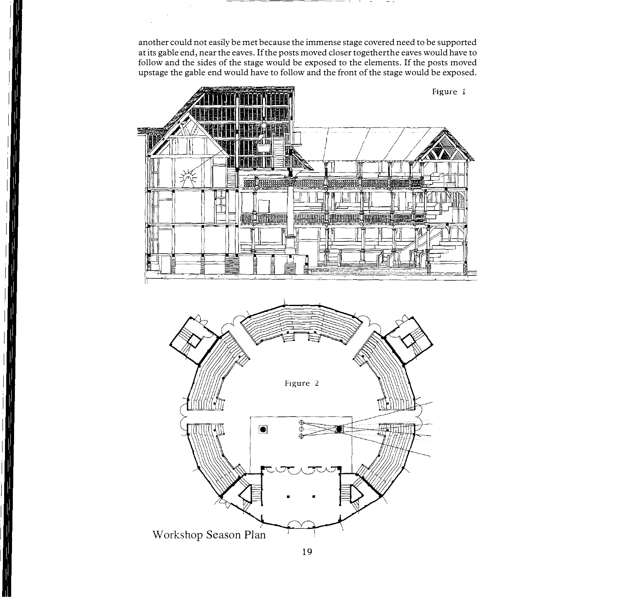another could not easily be met because the immense stage covered need to be supported at its gable end, near the eaves. If the posts moved closer togetherthe eaves would have to follow and the sides of the stage would be exposed to the elements. If the posts moved upstage the gable end would have to follow and the front of the stage would be exposed.

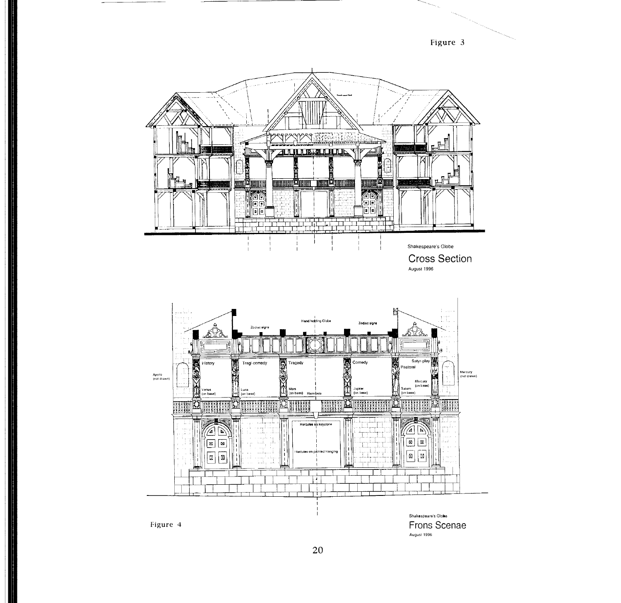

Cross Section August 1996



Shakespeare's Globe Figure 4 **Frons Scenae** August 1996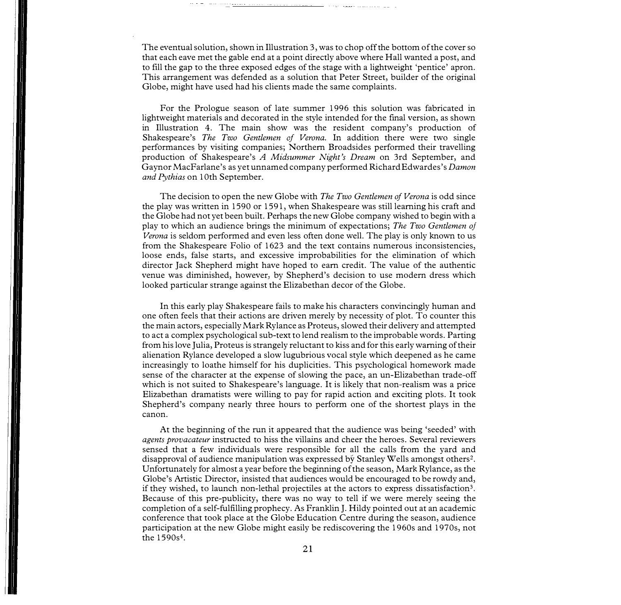The eventual solution, shown in Illustration 3, was to chop off the bottom of the cover so that each eave met the gable end at a point directly above where Hall wanted a post, and to fill the gap to the three exposed edges of the stage with a lightweight 'pentice' apron. This arrangement was defended as a solution that Peter Street, builder of the original Globe, might have used had his clients made the same complaints.

For the Prologue season of late summer 1996 this solution was fabricated in lightweight materials and decorated in the style intended for the final version, as shown in Illustration 4. The main show was the resident company's production of Shakespeare's *The Two Gentlemen of Verona*. In addition there were two single performances by visiting companies; Northern Broadsides performed their travelling production of Shakespeare's A Midsummer Night's Dream on 3rd September, and Gaynor MacFarlane's as yet unnamed company performed Richard Edwardes's Damon and Pythias on 10th September.

The decision to open the new Globe with *The Two Gentlemen of Verona* is odd since the play was written in 1590 or 1591, when Shakespeare was still learning his craft and the Globe had not yet been built. Perhaps the new Globe company wished to begin with a play to which an audience brings the minimum of expectations; The Two Gentlemen of Verona is seldom performed and even less often done well. The play is only known to us from the Shakespeare Folio of 1623 and the text contains numerous inconsistencies, loose ends, false starts, and excessive improbabilities for the elimination of which director Jack Shepherd might have hoped to earn credit. The value of the authentic venue was diminished, however, by Shepherd's decision to use modern dress which looked particular strange against the Elizabethan decor of the Globe.

In this early play Shakespeare fails to make his characters convincingly human and one often feels that their actions are driven merely by necessity of plot. To counter this the main actors, especially Mark Rylance as Proteus, slowed their delivery and attempted to act a complex psychological sub-text to lend realism to the improbable words. Parting from his love Julia, Proteus is strangely reluctant to kiss and for this early warning of their alienation Rylance developed a slow lugubrious vocal style which deepened as he came increasingly to loathe himself for his duplicities. This psychological homework made sense of the character at the expense of slowing the pace, an un-Elizabethan trade-off which is not suited to Shakespeare's language. It is likely that non-realism was a price Elizabethan dramatists were willing to pay for rapid action and exciting plots. It took Shepherd's company nearly three hours to perform one of the shortest plays in the canon.

At the beginning of the run it appeared that the audience was being 'seeded' with agents provacateur instructed to hiss the villains and cheer the heroes. Several reviewers sensed that a few individuals were responsible for all the calls from the yard and disapproval of audience manipulation was expressed by Stanley Wells amongst others2. Unfortunately for almost a year before the beginning of the season, Mark Rylance, as the Globe's Artistic Director, insisted that audiences would be encouraged to be rowdy and, if they wished, to launch non-lethal projectiles at the actors to express dissatisfaction<sup>3</sup>. Because of this pre-publicity, there was no way to tell if we were merely seeing the completion of a self-fulfilling prophecy. As Franklin J. Hildy pointed out at an academic conference that took place at the Globe Education Centre during the season, audience participation at the new Globe might easily be rediscovering the 1960s and 1970s, not the 1590s4.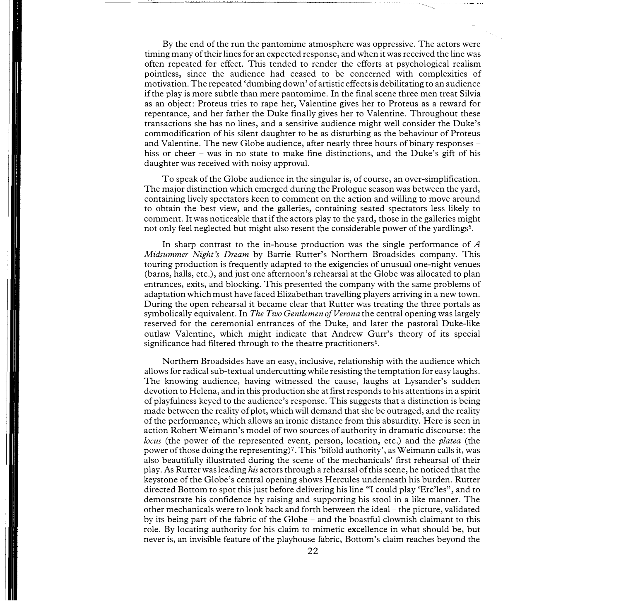By the end of the run the pantomime atmosphere was oppressive. The actors were timing many of their lines for an expected response, and when it was received the line was often repeated for effect. This tended to render the efforts at psychological realism pointless, since the audience had ceased to be concerned with complexities of motivation. The repeated 'dumbing down' of artistic effects is debilitating to an audience if the play is more subtle than mere pantomime. In the final scene three men treat Silvia as an object: Proteus tries to rape her, Valentine gives her to Proteus as a reward for repentance, and her father the Duke finally gives her to Valentine. Throughout these transactions she has no lines, and a sensitive audience might well consider the Duke's commodification of his silent daughter to be as disturbing as the behaviour of Proteus and Valentine. The new Globe audience, after nearly three hours of binary responses hiss or cheer – was in no state to make fine distinctions, and the Duke's gift of his daughter was received with noisy approval.

To speak of the Globe audience in the singular is, of course, an over-simplification. The major distinction which emerged during the Prologue season was between the yard, containing lively spectators keen to comment on the action and willing to move around to obtain the best view, and the galleries, containing seated spectators less likely to comment. It was noticeable that if the actors play to the yard, those in the galleries might not only feel neglected but might also resent the considerable power of the yardlings<sup>5</sup>.

In sharp contrast to the in-house production was the single performance of  $A$ Midsummer Night's Dream by Barrie Rutter's Northern Broadsides company. This touring production is frequently adapted to the exigencies of unusual one-night venues (barns, halls, etc.), and just one afternoon's rehearsal at the Globe was allocated to plan entrances, exits, and blocking. This presented the company with the same problems of adaptation which must have faced Elizabethan travelling players arriving in a new town. During the open rehearsal it became clear that Rutter was treating the three portals as symbolically equivalent. In The Two Gentlemen of Verona the central opening was largely reserved for the ceremonial entrances of the Duke, and later the pastoral Duke-like outlaw Valentine, which might indicate that Andrew Gurr's theory of its special significance had filtered through to the theatre practitioners<sup>6</sup>.

Northern Broadsides have an easy, inclusive, relationship with the audience which allows for radical sub-textual undercutting while resisting the temptation for easy laughs. The knowing audience, having witnessed the cause, laughs at Lysander's sudden devotion to Helena, and in this production she at first responds to his attentions in a spirit of playfulness keyed to the audience's response. This suggests that a distinction is being made between the reality of plot, which will demand that she be outraged, and the reality of the performance, which allows an ironic distance from this absurdity. Here is seen in action Robert Weimann's model of two sources of authority in dramatic discourse: the locus (the power of the represented event, person, location, etc.) and the *platea* (the power of those doing the representing) 7• This 'bifold authority', as Weimann calls it, was also beautifully illustrated during the scene of the mechanicals' first rehearsal of their play. As Rutter was leading his actors through a rehearsal of this scene, he noticed that the keystone of the Globe's central opening shows Hercules underneath his burden. Rutter directed Bottom to spot this just before delivering his line "I could play 'Erc'les", and to demonstrate his confidence by raising and supporting his stool in a like manner. The other mechanicals were to look back and forth between the ideal - the picture, validated by its being part of the fabric of the Globe - and the boastful clownish claimant to this role. By locating authority for his claim to mimetic excellence in what should be, but never is, an invisible feature of the playhouse fabric, Bottom's claim reaches beyond the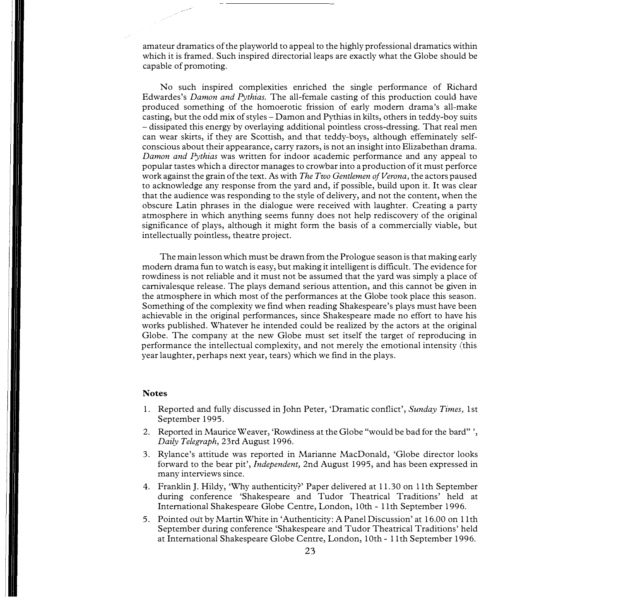amateur dramatics of the playworld to appeal to the highly professional dramatics within which it is framed. Such inspired directorial leaps are exactly what the Globe should be capable of promoting.

No such inspired complexities enriched the single performance of Richard Edwardes's Damon and Pythias. The all-female casting of this production could have produced something of the homoerotic frission of early modern drama's all-make casting, but the odd mix of styles - Damon and Pythias in kilts, others in teddy-boy suits - dissipated this energy by overlaying additional pointless cross-dressing. That real men can wear skirts, if they are Scottish, and that teddy-boys, although effeminately selfconscious about their appearance, carry razors, is not an insight into Elizabethan drama. Damon and Pythias was written for indoor academic performance and any appeal to popular tastes which a director manages to crowbar into a production of it must perforce work against the grain of the text. As with *The Two Gentlemen of Verona*, the actors paused to acknowledge any response from the yard and, if possible, build upon it. It was clear that the audience was responding to the style of delivery, and not the content, when the obscure Latin phrases in the dialogue were received with laughter. Creating a party atmosphere in which anything seems funny does not help rediscovery of the original significance of plays, although it might form the basis of a commercially viable, but intellectually pointless, theatre project.

The main lesson which must be drawn from the Prologue season is that making early modern drama fun to watch is easy, but making it intelligent is difficult. The evidence for rowdiness is not reliable and it must not be assumed that the yard was simply a place of carnivalesque release. The plays demand serious attention, and this cannot be given in the atmosphere in which most of the performances at the Globe took place this season. Something of the complexity we find when reading Shakespeare's plays must have been achievable in the original performances, since Shakespeare made no effort to have his works published. Whatever he intended could be realized by the actors at the original Globe. The company at the new Globe must set itself the target of reproducing in performance the intellectual complexity, and not merely the emotional intensity (this year laughter, perhaps next year, tears) which we find in the plays.

#### Notes

- 1. Reported and fully discussed in John Peter, 'Dramatic conflict', Sunday Times, 1st September 1995.
- 2. Reported in Maurice Weaver, 'Rowdiness at the Globe "would be bad for the bard"', Daily Telegraph, 23rd August 1996.
- 3. Rylance's attitude was reported in Marianne MacDonald, 'Globe director looks forward to the bear pit', Independent, 2nd August 1995, and has been expressed in many interviews since.
- 4. Franklin J. Hildy, 'Why authenticity?' Paper delivered at 11.30 on 11th September during conference 'Shakespeare and Tudor Theatrical Traditions' held at International Shakespeare Globe Centre, London, 10th - 11th September 1996.
- 5. Pointed out by Martin White in 'Authenticity: A Panel Discussion' at 16.00 on 11th September during conference 'Shakespeare and Tudor Theatrical Traditions' held at International Shakespeare Globe Centre, London, 10th - 11th September 1996.